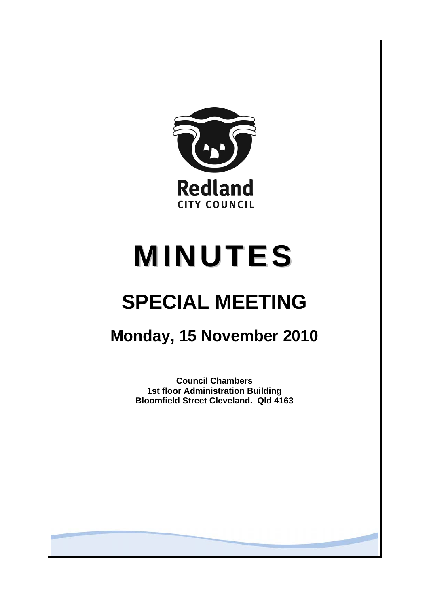

# **MINUTES**

## **SPECIAL MEETING**

### **Monday, 15 November 2010**

**Council Chambers 1st floor Administration Building Bloomfield Street Cleveland. Qld 4163**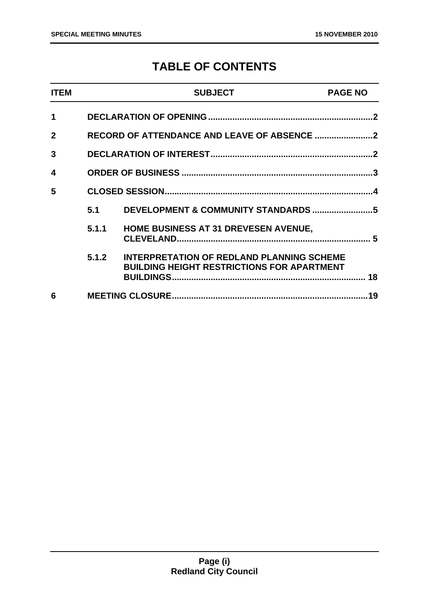#### **TABLE OF CONTENTS**

| <b>ITEM</b>  |       | <b>SUBJECT</b>                                                                                        | <b>PAGE NO</b> |
|--------------|-------|-------------------------------------------------------------------------------------------------------|----------------|
| 1            |       |                                                                                                       |                |
| $\mathbf{2}$ |       |                                                                                                       |                |
| 3            |       |                                                                                                       |                |
| 4            |       |                                                                                                       |                |
| 5            |       |                                                                                                       |                |
|              | 5.1   | DEVELOPMENT & COMMUNITY STANDARDS 5                                                                   |                |
|              | 5.1.1 | <b>HOME BUSINESS AT 31 DREVESEN AVENUE,</b>                                                           |                |
|              | 5.1.2 | <b>INTERPRETATION OF REDLAND PLANNING SCHEME</b><br><b>BUILDING HEIGHT RESTRICTIONS FOR APARTMENT</b> | 18             |
| 6            |       |                                                                                                       |                |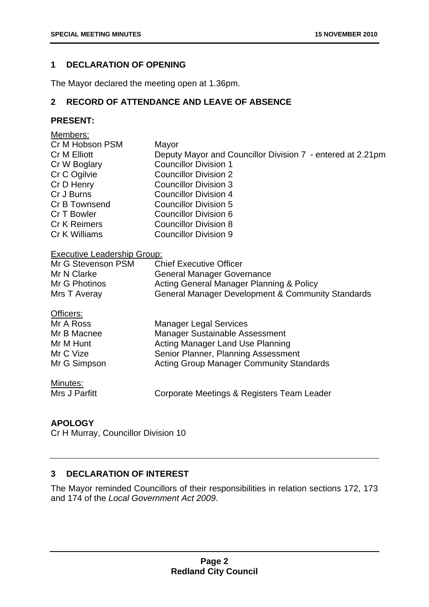#### <span id="page-2-0"></span>**1 DECLARATION OF OPENING**

The Mayor declared the meeting open at 1.36pm.

#### **2 RECORD OF ATTENDANCE AND LEAVE OF ABSENCE**

#### **PRESENT:**

| Members:                           |                                                            |
|------------------------------------|------------------------------------------------------------|
| Cr M Hobson PSM                    | Mayor                                                      |
| Cr M Elliott                       | Deputy Mayor and Councillor Division 7 - entered at 2.21pm |
| Cr W Boglary                       | <b>Councillor Division 1</b>                               |
| Cr C Ogilvie                       | <b>Councillor Division 2</b>                               |
| Cr D Henry                         | <b>Councillor Division 3</b>                               |
| Cr J Burns                         | <b>Councillor Division 4</b>                               |
| Cr B Townsend                      | <b>Councillor Division 5</b>                               |
| Cr T Bowler                        | Councillor Division 6                                      |
| <b>Cr K Reimers</b>                | <b>Councillor Division 8</b>                               |
| Cr K Williams                      | <b>Councillor Division 9</b>                               |
| <b>Executive Leadership Group:</b> |                                                            |
| Mr G Stevenson PSM                 | <b>Chief Executive Officer</b>                             |
| Mr N Clarke                        | <b>General Manager Governance</b>                          |
| Mr G Photinos                      | Acting General Manager Planning & Policy                   |
| Mrs T Averay                       | General Manager Development & Community Standards          |
| Officers:                          |                                                            |
| Mr A Ross                          | <b>Manager Legal Services</b>                              |
| Mr B Macnee                        | Manager Sustainable Assessment                             |
| Mr M Hunt                          | <b>Acting Manager Land Use Planning</b>                    |
| Mr C Vize                          | Senior Planner, Planning Assessment                        |
| Mr G Simpson                       | <b>Acting Group Manager Community Standards</b>            |
| Minutes:                           |                                                            |
| Mrs J Parfitt                      | Corporate Meetings & Registers Team Leader                 |
|                                    |                                                            |

#### **APOLOGY**

Cr H Murray, Councillor Division 10

#### **3 DECLARATION OF INTEREST**

The Mayor reminded Councillors of their responsibilities in relation sections 172, 173 and 174 of the *Local Government Act 2009*.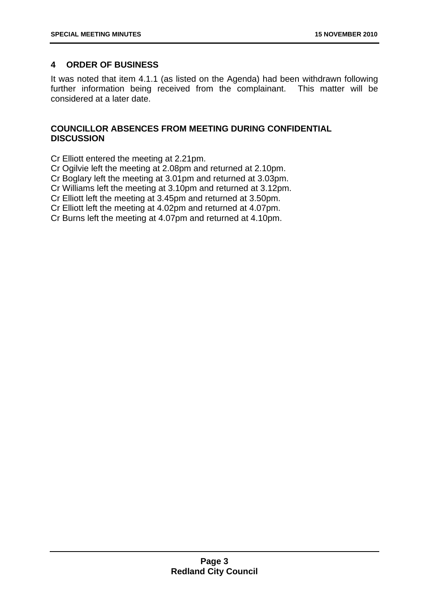#### <span id="page-3-0"></span>**4 ORDER OF BUSINESS**

It was noted that item 4.1.1 (as listed on the Agenda) had been withdrawn following further information being received from the complainant. This matter will be considered at a later date.

#### **COUNCILLOR ABSENCES FROM MEETING DURING CONFIDENTIAL DISCUSSION**

Cr Elliott entered the meeting at 2.21pm.

Cr Ogilvie left the meeting at 2.08pm and returned at 2.10pm.

Cr Boglary left the meeting at 3.01pm and returned at 3.03pm.

Cr Williams left the meeting at 3.10pm and returned at 3.12pm.

Cr Elliott left the meeting at 3.45pm and returned at 3.50pm.

Cr Elliott left the meeting at 4.02pm and returned at 4.07pm.

Cr Burns left the meeting at 4.07pm and returned at 4.10pm.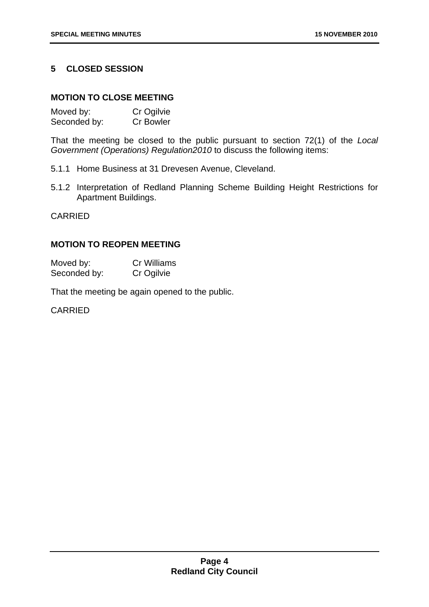#### <span id="page-4-0"></span>**5 CLOSED SESSION**

#### **MOTION TO CLOSE MEETING**

| Moved by:    | Cr Ogilvie       |
|--------------|------------------|
| Seconded by: | <b>Cr Bowler</b> |

That the meeting be closed to the public pursuant to section 72(1) of the *Local Government (Operations) Regulation2010* to discuss the following items:

- 5.1.1 Home Business at 31 Drevesen Avenue, Cleveland.
- 5.1.2 Interpretation of Redland Planning Scheme Building Height Restrictions for Apartment Buildings.

CARRIED

#### **MOTION TO REOPEN MEETING**

Moved by: Cr Williams Seconded by: Cr Ogilvie

That the meeting be again opened to the public.

CARRIED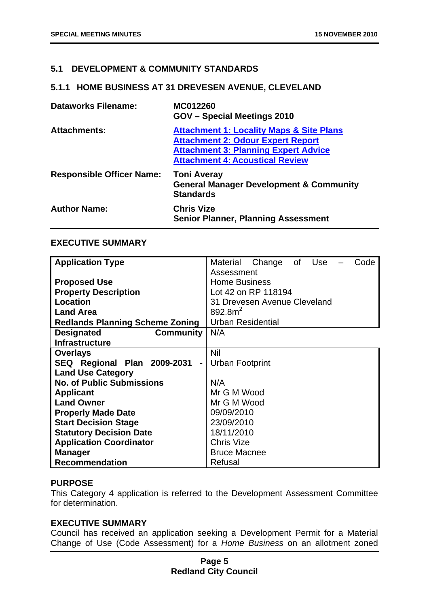#### <span id="page-5-0"></span>**5.1 DEVELOPMENT & COMMUNITY STANDARDS**

#### **5.1.1 HOME BUSINESS AT 31 DREVESEN AVENUE, CLEVELAND**

| <b>Dataworks Filename:</b>       | MC012260<br><b>GOV</b> – Special Meetings 2010                                                                                                                                           |
|----------------------------------|------------------------------------------------------------------------------------------------------------------------------------------------------------------------------------------|
| <b>Attachments:</b>              | <b>Attachment 1: Locality Maps &amp; Site Plans</b><br><b>Attachment 2: Odour Expert Report</b><br><b>Attachment 3: Planning Expert Advice</b><br><b>Attachment 4: Acoustical Review</b> |
| <b>Responsible Officer Name:</b> | <b>Toni Averay</b><br><b>General Manager Development &amp; Community</b><br><b>Standards</b>                                                                                             |
| <b>Author Name:</b>              | <b>Chris Vize</b><br><b>Senior Planner, Planning Assessment</b>                                                                                                                          |

#### **EXECUTIVE SUMMARY**

| <b>Application Type</b>                       | Material Change of Use<br>Code |
|-----------------------------------------------|--------------------------------|
|                                               | Assessment                     |
| <b>Proposed Use</b>                           | <b>Home Business</b>           |
| <b>Property Description</b>                   | Lot 42 on RP 118194            |
| Location                                      | 31 Drevesen Avenue Cleveland   |
| <b>Land Area</b>                              | 892.8 <sup>2</sup>             |
| <b>Redlands Planning Scheme Zoning</b>        | <b>Urban Residential</b>       |
| <b>Designated</b><br>Community                | N/A                            |
| <b>Infrastructure</b>                         |                                |
| <b>Overlays</b>                               | Nil                            |
| SEQ Regional Plan 2009-2031<br>$\blacksquare$ | Urban Footprint                |
| <b>Land Use Category</b>                      |                                |
| <b>No. of Public Submissions</b>              | N/A                            |
| <b>Applicant</b>                              | Mr G M Wood                    |
| <b>Land Owner</b>                             | Mr G M Wood                    |
| <b>Properly Made Date</b>                     | 09/09/2010                     |
| <b>Start Decision Stage</b>                   | 23/09/2010                     |
| <b>Statutory Decision Date</b>                | 18/11/2010                     |
| <b>Application Coordinator</b>                | <b>Chris Vize</b>              |
| <b>Manager</b>                                | <b>Bruce Macnee</b>            |
| <b>Recommendation</b>                         | Refusal                        |

#### **PURPOSE**

This Category 4 application is referred to the Development Assessment Committee for determination.

#### **EXECUTIVE SUMMARY**

Council has received an application seeking a Development Permit for a Material Change of Use (Code Assessment) for a *Home Business* on an allotment zoned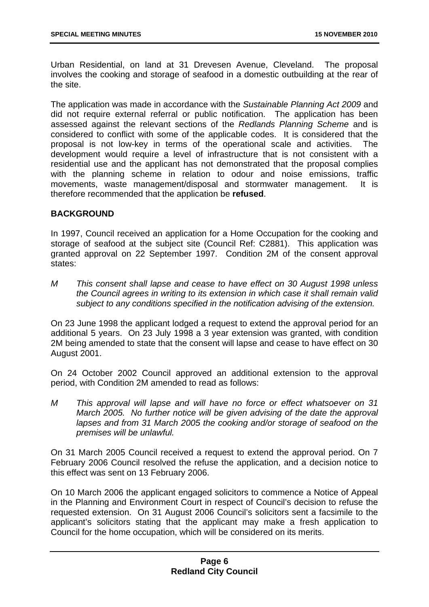Urban Residential, on land at 31 Drevesen Avenue, Cleveland. The proposal involves the cooking and storage of seafood in a domestic outbuilding at the rear of the site.

The application was made in accordance with the *Sustainable Planning Act 2009* and did not require external referral or public notification. The application has been assessed against the relevant sections of the *Redlands Planning Scheme* and is considered to conflict with some of the applicable codes. It is considered that the proposal is not low-key in terms of the operational scale and activities. The development would require a level of infrastructure that is not consistent with a residential use and the applicant has not demonstrated that the proposal complies with the planning scheme in relation to odour and noise emissions, traffic movements, waste management/disposal and stormwater management. It is therefore recommended that the application be **refused**.

#### **BACKGROUND**

In 1997, Council received an application for a Home Occupation for the cooking and storage of seafood at the subject site (Council Ref: C2881). This application was granted approval on 22 September 1997. Condition 2M of the consent approval states:

*M This consent shall lapse and cease to have effect on 30 August 1998 unless the Council agrees in writing to its extension in which case it shall remain valid subject to any conditions specified in the notification advising of the extension.* 

On 23 June 1998 the applicant lodged a request to extend the approval period for an additional 5 years. On 23 July 1998 a 3 year extension was granted, with condition 2M being amended to state that the consent will lapse and cease to have effect on 30 August 2001.

On 24 October 2002 Council approved an additional extension to the approval period, with Condition 2M amended to read as follows:

*M This approval will lapse and will have no force or effect whatsoever on 31 March 2005. No further notice will be given advising of the date the approval lapses and from 31 March 2005 the cooking and/or storage of seafood on the premises will be unlawful.* 

On 31 March 2005 Council received a request to extend the approval period. On 7 February 2006 Council resolved the refuse the application, and a decision notice to this effect was sent on 13 February 2006.

On 10 March 2006 the applicant engaged solicitors to commence a Notice of Appeal in the Planning and Environment Court in respect of Council's decision to refuse the requested extension. On 31 August 2006 Council's solicitors sent a facsimile to the applicant's solicitors stating that the applicant may make a fresh application to Council for the home occupation, which will be considered on its merits.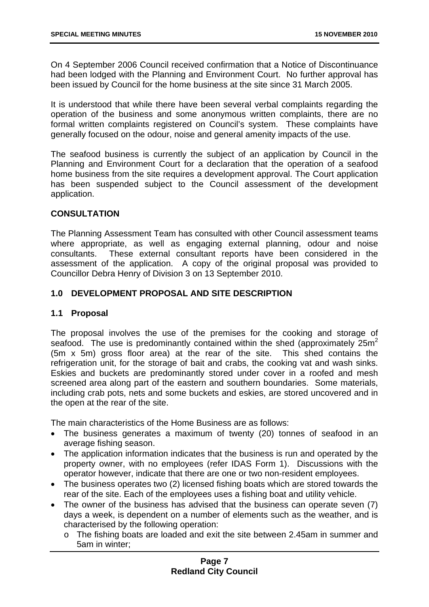On 4 September 2006 Council received confirmation that a Notice of Discontinuance had been lodged with the Planning and Environment Court. No further approval has been issued by Council for the home business at the site since 31 March 2005.

It is understood that while there have been several verbal complaints regarding the operation of the business and some anonymous written complaints, there are no formal written complaints registered on Council's system. These complaints have generally focused on the odour, noise and general amenity impacts of the use.

The seafood business is currently the subject of an application by Council in the Planning and Environment Court for a declaration that the operation of a seafood home business from the site requires a development approval. The Court application has been suspended subject to the Council assessment of the development application.

#### **CONSULTATION**

The Planning Assessment Team has consulted with other Council assessment teams where appropriate, as well as engaging external planning, odour and noise consultants. These external consultant reports have been considered in the assessment of the application. A copy of the original proposal was provided to Councillor Debra Henry of Division 3 on 13 September 2010.

#### **1.0 DEVELOPMENT PROPOSAL AND SITE DESCRIPTION**

#### **1.1 Proposal**

The proposal involves the use of the premises for the cooking and storage of seafood. The use is predominantly contained within the shed (approximately  $25m^2$ ) (5m x 5m) gross floor area) at the rear of the site. This shed contains the refrigeration unit, for the storage of bait and crabs, the cooking vat and wash sinks. Eskies and buckets are predominantly stored under cover in a roofed and mesh screened area along part of the eastern and southern boundaries. Some materials, including crab pots, nets and some buckets and eskies, are stored uncovered and in the open at the rear of the site.

The main characteristics of the Home Business are as follows:

- The business generates a maximum of twenty (20) tonnes of seafood in an average fishing season.
- The application information indicates that the business is run and operated by the property owner, with no employees (refer IDAS Form 1). Discussions with the operator however, indicate that there are one or two non-resident employees.
- The business operates two (2) licensed fishing boats which are stored towards the rear of the site. Each of the employees uses a fishing boat and utility vehicle.
- The owner of the business has advised that the business can operate seven (7) days a week, is dependent on a number of elements such as the weather, and is characterised by the following operation:
	- o The fishing boats are loaded and exit the site between 2.45am in summer and 5am in winter;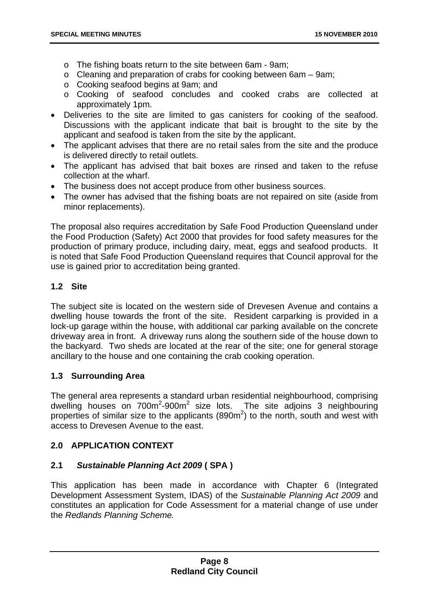- o The fishing boats return to the site between 6am 9am;
- o Cleaning and preparation of crabs for cooking between 6am 9am;
- o Cooking seafood begins at 9am; and
- o Cooking of seafood concludes and cooked crabs are collected at approximately 1pm.
- Deliveries to the site are limited to gas canisters for cooking of the seafood. Discussions with the applicant indicate that bait is brought to the site by the applicant and seafood is taken from the site by the applicant.
- The applicant advises that there are no retail sales from the site and the produce is delivered directly to retail outlets.
- The applicant has advised that bait boxes are rinsed and taken to the refuse collection at the wharf.
- The business does not accept produce from other business sources.
- The owner has advised that the fishing boats are not repaired on site (aside from minor replacements).

The proposal also requires accreditation by Safe Food Production Queensland under the Food Production (Safety) Act 2000 that provides for food safety measures for the production of primary produce, including dairy, meat, eggs and seafood products. It is noted that Safe Food Production Queensland requires that Council approval for the use is gained prior to accreditation being granted.

#### **1.2 Site**

The subject site is located on the western side of Drevesen Avenue and contains a dwelling house towards the front of the site. Resident carparking is provided in a lock-up garage within the house, with additional car parking available on the concrete driveway area in front. A driveway runs along the southern side of the house down to the backyard. Two sheds are located at the rear of the site; one for general storage ancillary to the house and one containing the crab cooking operation.

#### **1.3 Surrounding Area**

The general area represents a standard urban residential neighbourhood, comprising dwelling houses on  $700m^2$ -900 $m^2$  size lots. The site adjoins 3 neighbouring properties of similar size to the applicants (890 $m<sup>2</sup>$ ) to the north, south and west with access to Drevesen Avenue to the east.

#### **2.0 APPLICATION CONTEXT**

#### **2.1** *Sustainable Planning Act 2009* **( SPA )**

This application has been made in accordance with Chapter 6 (Integrated Development Assessment System, IDAS) of the *Sustainable Planning Act 2009* and constitutes an application for Code Assessment for a material change of use under the *Redlands Planning Scheme.*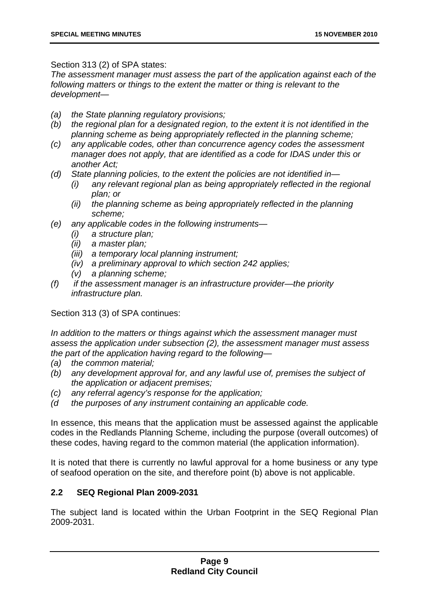Section 313 (2) of SPA states:

*The assessment manager must assess the part of the application against each of the following matters or things to the extent the matter or thing is relevant to the development—* 

- *(a) the State planning regulatory provisions;*
- *(b) the regional plan for a designated region, to the extent it is not identified in the planning scheme as being appropriately reflected in the planning scheme;*
- *(c) any applicable codes, other than concurrence agency codes the assessment manager does not apply, that are identified as a code for IDAS under this or another Act;*
- *(d) State planning policies, to the extent the policies are not identified in—* 
	- *(i) any relevant regional plan as being appropriately reflected in the regional plan; or*
	- *(ii) the planning scheme as being appropriately reflected in the planning scheme;*
- *(e) any applicable codes in the following instruments—* 
	- *(i) a structure plan;*
	- *(ii) a master plan;*
	- *(iii) a temporary local planning instrument;*
	- *(iv) a preliminary approval to which section 242 applies;*
	- *(v) a planning scheme;*
- *(f) if the assessment manager is an infrastructure provider—the priority infrastructure plan.*

Section 313 (3) of SPA continues:

*In addition to the matters or things against which the assessment manager must assess the application under subsection (2), the assessment manager must assess the part of the application having regard to the following—* 

- *(a) the common material;*
- *(b) any development approval for, and any lawful use of, premises the subject of the application or adjacent premises;*
- *(c) any referral agency's response for the application;*
- *(d the purposes of any instrument containing an applicable code.*

In essence, this means that the application must be assessed against the applicable codes in the Redlands Planning Scheme, including the purpose (overall outcomes) of these codes, having regard to the common material (the application information).

It is noted that there is currently no lawful approval for a home business or any type of seafood operation on the site, and therefore point (b) above is not applicable.

#### **2.2 SEQ Regional Plan 2009-2031**

The subject land is located within the Urban Footprint in the SEQ Regional Plan 2009-2031.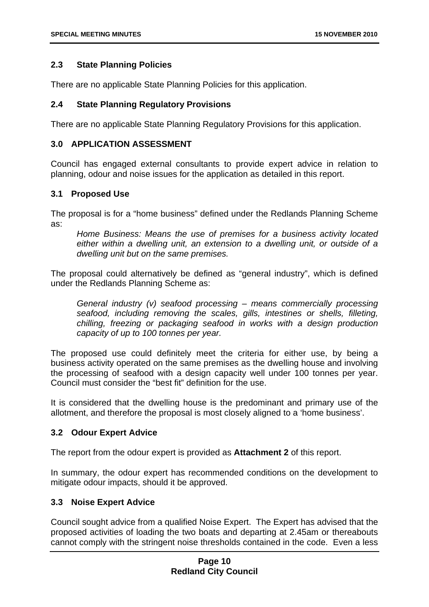#### **2.3 State Planning Policies**

There are no applicable State Planning Policies for this application.

#### **2.4 State Planning Regulatory Provisions**

There are no applicable State Planning Regulatory Provisions for this application.

#### **3.0 APPLICATION ASSESSMENT**

Council has engaged external consultants to provide expert advice in relation to planning, odour and noise issues for the application as detailed in this report.

#### **3.1 Proposed Use**

The proposal is for a "home business" defined under the Redlands Planning Scheme as:

*Home Business: Means the use of premises for a business activity located either within a dwelling unit, an extension to a dwelling unit, or outside of a dwelling unit but on the same premises.* 

The proposal could alternatively be defined as "general industry", which is defined under the Redlands Planning Scheme as:

*General industry (v) seafood processing – means commercially processing seafood, including removing the scales, gills, intestines or shells, filleting, chilling, freezing or packaging seafood in works with a design production capacity of up to 100 tonnes per year.* 

The proposed use could definitely meet the criteria for either use, by being a business activity operated on the same premises as the dwelling house and involving the processing of seafood with a design capacity well under 100 tonnes per year. Council must consider the "best fit" definition for the use.

It is considered that the dwelling house is the predominant and primary use of the allotment, and therefore the proposal is most closely aligned to a 'home business'.

#### **3.2 Odour Expert Advice**

The report from the odour expert is provided as **Attachment 2** of this report.

In summary, the odour expert has recommended conditions on the development to mitigate odour impacts, should it be approved.

#### **3.3 Noise Expert Advice**

Council sought advice from a qualified Noise Expert. The Expert has advised that the proposed activities of loading the two boats and departing at 2.45am or thereabouts cannot comply with the stringent noise thresholds contained in the code. Even a less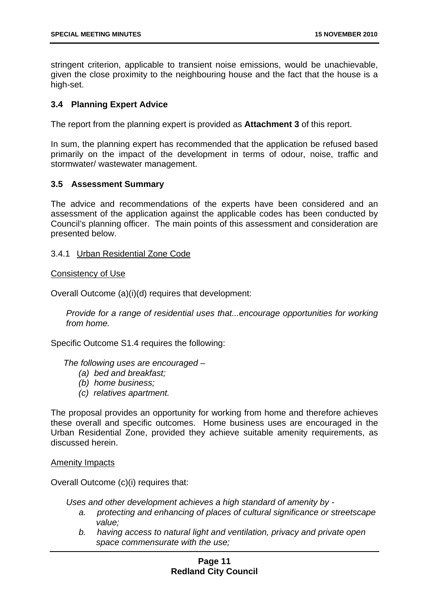stringent criterion, applicable to transient noise emissions, would be unachievable, given the close proximity to the neighbouring house and the fact that the house is a high-set.

#### **3.4 Planning Expert Advice**

The report from the planning expert is provided as **Attachment 3** of this report.

In sum, the planning expert has recommended that the application be refused based primarily on the impact of the development in terms of odour, noise, traffic and stormwater/ wastewater management.

#### **3.5 Assessment Summary**

The advice and recommendations of the experts have been considered and an assessment of the application against the applicable codes has been conducted by Council's planning officer. The main points of this assessment and consideration are presented below.

#### 3.4.1 Urban Residential Zone Code

#### Consistency of Use

Overall Outcome (a)(i)(d) requires that development:

*Provide for a range of residential uses that...encourage opportunities for working from home.* 

Specific Outcome S1.4 requires the following:

*The following uses are encouraged –* 

- *(a) bed and breakfast;*
- *(b) home business;*
- *(c) relatives apartment.*

The proposal provides an opportunity for working from home and therefore achieves these overall and specific outcomes. Home business uses are encouraged in the Urban Residential Zone, provided they achieve suitable amenity requirements, as discussed herein.

#### Amenity Impacts

Overall Outcome (c)(i) requires that:

*Uses and other development achieves a high standard of amenity by -* 

- *a. protecting and enhancing of places of cultural significance or streetscape value;*
- *b. having access to natural light and ventilation, privacy and private open space commensurate with the use;*

#### **Page 11 Redland City Council**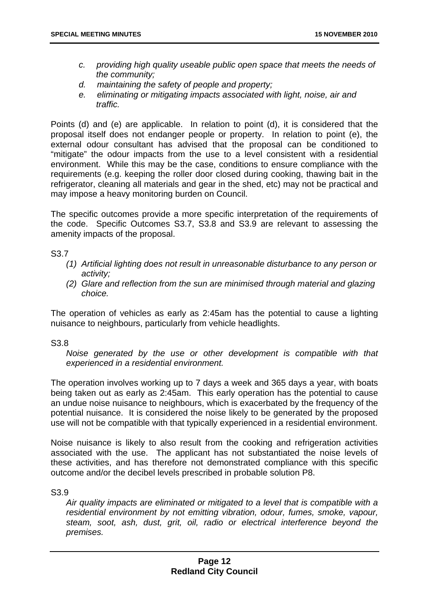- *c. providing high quality useable public open space that meets the needs of the community;*
- *d. maintaining the safety of people and property;*
- *e. eliminating or mitigating impacts associated with light, noise, air and traffic.*

Points (d) and (e) are applicable. In relation to point (d), it is considered that the proposal itself does not endanger people or property. In relation to point (e), the external odour consultant has advised that the proposal can be conditioned to "mitigate" the odour impacts from the use to a level consistent with a residential environment. While this may be the case, conditions to ensure compliance with the requirements (e.g. keeping the roller door closed during cooking, thawing bait in the refrigerator, cleaning all materials and gear in the shed, etc) may not be practical and may impose a heavy monitoring burden on Council.

The specific outcomes provide a more specific interpretation of the requirements of the code. Specific Outcomes S3.7, S3.8 and S3.9 are relevant to assessing the amenity impacts of the proposal.

S3.7

- *(1) Artificial lighting does not result in unreasonable disturbance to any person or activity;*
- *(2) Glare and reflection from the sun are minimised through material and glazing choice.*

The operation of vehicles as early as 2:45am has the potential to cause a lighting nuisance to neighbours, particularly from vehicle headlights.

S3.8

*Noise generated by the use or other development is compatible with that experienced in a residential environment.* 

The operation involves working up to 7 days a week and 365 days a year, with boats being taken out as early as 2:45am. This early operation has the potential to cause an undue noise nuisance to neighbours, which is exacerbated by the frequency of the potential nuisance. It is considered the noise likely to be generated by the proposed use will not be compatible with that typically experienced in a residential environment.

Noise nuisance is likely to also result from the cooking and refrigeration activities associated with the use. The applicant has not substantiated the noise levels of these activities, and has therefore not demonstrated compliance with this specific outcome and/or the decibel levels prescribed in probable solution P8.

S3.9

*Air quality impacts are eliminated or mitigated to a level that is compatible with a residential environment by not emitting vibration, odour, fumes, smoke, vapour, steam, soot, ash, dust, grit, oil, radio or electrical interference beyond the premises.*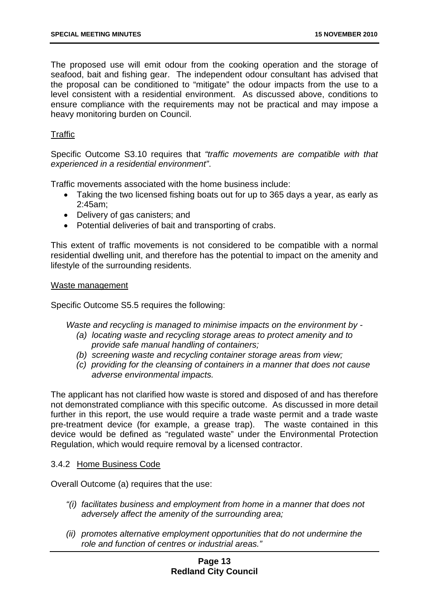The proposed use will emit odour from the cooking operation and the storage of seafood, bait and fishing gear. The independent odour consultant has advised that the proposal can be conditioned to "mitigate" the odour impacts from the use to a level consistent with a residential environment. As discussed above, conditions to ensure compliance with the requirements may not be practical and may impose a heavy monitoring burden on Council.

#### **Traffic**

Specific Outcome S3.10 requires that *"traffic movements are compatible with that experienced in a residential environment"*.

Traffic movements associated with the home business include:

- Taking the two licensed fishing boats out for up to 365 days a year, as early as 2:45am;
- Delivery of gas canisters; and
- Potential deliveries of bait and transporting of crabs.

This extent of traffic movements is not considered to be compatible with a normal residential dwelling unit, and therefore has the potential to impact on the amenity and lifestyle of the surrounding residents.

#### Waste management

Specific Outcome S5.5 requires the following:

*Waste and recycling is managed to minimise impacts on the environment by -* 

- *(a) locating waste and recycling storage areas to protect amenity and to provide safe manual handling of containers;*
- *(b) screening waste and recycling container storage areas from view;*
- *(c) providing for the cleansing of containers in a manner that does not cause adverse environmental impacts.*

The applicant has not clarified how waste is stored and disposed of and has therefore not demonstrated compliance with this specific outcome. As discussed in more detail further in this report, the use would require a trade waste permit and a trade waste pre-treatment device (for example, a grease trap). The waste contained in this device would be defined as "regulated waste" under the Environmental Protection Regulation, which would require removal by a licensed contractor.

#### 3.4.2 Home Business Code

Overall Outcome (a) requires that the use:

- *"(i) facilitates business and employment from home in a manner that does not adversely affect the amenity of the surrounding area;*
- *(ii) promotes alternative employment opportunities that do not undermine the role and function of centres or industrial areas."*

#### **Page 13 Redland City Council**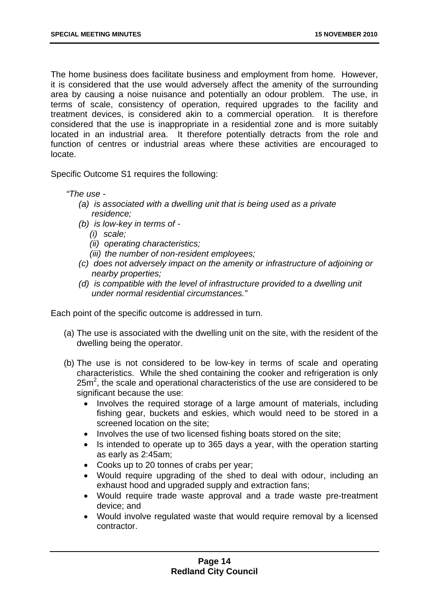The home business does facilitate business and employment from home. However, it is considered that the use would adversely affect the amenity of the surrounding area by causing a noise nuisance and potentially an odour problem. The use, in terms of scale, consistency of operation, required upgrades to the facility and treatment devices, is considered akin to a commercial operation. It is therefore considered that the use is inappropriate in a residential zone and is more suitably located in an industrial area. It therefore potentially detracts from the role and function of centres or industrial areas where these activities are encouraged to locate.

Specific Outcome S1 requires the following:

*"The use -* 

- *(a) is associated with a dwelling unit that is being used as a private residence;*
- *(b) is low-key in terms of* 
	- *(i) scale;*
	- *(ii) operating characteristics;*
	- *(iii) the number of non-resident employees;*
- *(c) does not adversely impact on the amenity or infrastructure of adjoining or nearby properties;*
- *(d) is compatible with the level of infrastructure provided to a dwelling unit under normal residential circumstances."*

Each point of the specific outcome is addressed in turn.

- (a) The use is associated with the dwelling unit on the site, with the resident of the dwelling being the operator.
- (b) The use is not considered to be low-key in terms of scale and operating characteristics. While the shed containing the cooker and refrigeration is only  $25m<sup>2</sup>$ , the scale and operational characteristics of the use are considered to be significant because the use:
	- Involves the required storage of a large amount of materials, including fishing gear, buckets and eskies, which would need to be stored in a screened location on the site;
	- Involves the use of two licensed fishing boats stored on the site;
	- Is intended to operate up to 365 days a year, with the operation starting as early as 2:45am;
	- Cooks up to 20 tonnes of crabs per year;
	- Would require upgrading of the shed to deal with odour, including an exhaust hood and upgraded supply and extraction fans;
	- Would require trade waste approval and a trade waste pre-treatment device; and
	- Would involve regulated waste that would require removal by a licensed contractor.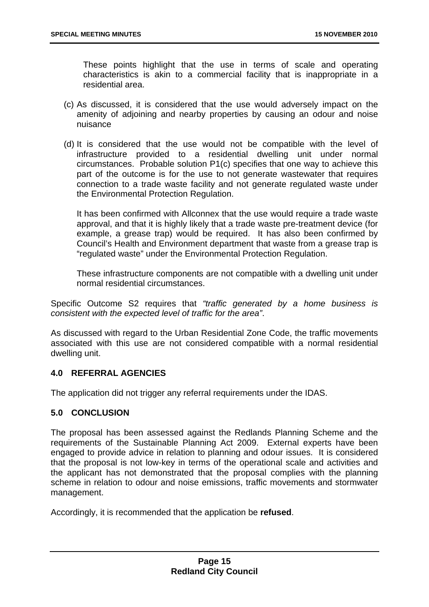These points highlight that the use in terms of scale and operating characteristics is akin to a commercial facility that is inappropriate in a residential area.

- (c) As discussed, it is considered that the use would adversely impact on the amenity of adjoining and nearby properties by causing an odour and noise nuisance
- (d) It is considered that the use would not be compatible with the level of infrastructure provided to a residential dwelling unit under normal circumstances. Probable solution P1(c) specifies that one way to achieve this part of the outcome is for the use to not generate wastewater that requires connection to a trade waste facility and not generate regulated waste under the Environmental Protection Regulation.

It has been confirmed with Allconnex that the use would require a trade waste approval, and that it is highly likely that a trade waste pre-treatment device (for example, a grease trap) would be required. It has also been confirmed by Council's Health and Environment department that waste from a grease trap is "regulated waste" under the Environmental Protection Regulation.

These infrastructure components are not compatible with a dwelling unit under normal residential circumstances.

Specific Outcome S2 requires that *"traffic generated by a home business is consistent with the expected level of traffic for the area"*.

As discussed with regard to the Urban Residential Zone Code, the traffic movements associated with this use are not considered compatible with a normal residential dwelling unit.

#### **4.0 REFERRAL AGENCIES**

The application did not trigger any referral requirements under the IDAS.

#### **5.0 CONCLUSION**

The proposal has been assessed against the Redlands Planning Scheme and the requirements of the Sustainable Planning Act 2009. External experts have been engaged to provide advice in relation to planning and odour issues. It is considered that the proposal is not low-key in terms of the operational scale and activities and the applicant has not demonstrated that the proposal complies with the planning scheme in relation to odour and noise emissions, traffic movements and stormwater management.

Accordingly, it is recommended that the application be **refused**.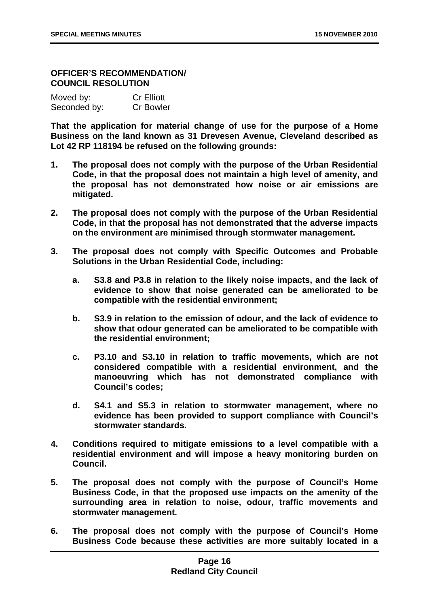#### **OFFICER'S RECOMMENDATION/ COUNCIL RESOLUTION**

| Moved by:    | <b>Cr Elliott</b> |
|--------------|-------------------|
| Seconded by: | <b>Cr Bowler</b>  |

**That the application for material change of use for the purpose of a Home Business on the land known as 31 Drevesen Avenue, Cleveland described as Lot 42 RP 118194 be refused on the following grounds:** 

- **1. The proposal does not comply with the purpose of the Urban Residential Code, in that the proposal does not maintain a high level of amenity, and the proposal has not demonstrated how noise or air emissions are mitigated.**
- **2. The proposal does not comply with the purpose of the Urban Residential Code, in that the proposal has not demonstrated that the adverse impacts on the environment are minimised through stormwater management.**
- **3. The proposal does not comply with Specific Outcomes and Probable Solutions in the Urban Residential Code, including:** 
	- **a. S3.8 and P3.8 in relation to the likely noise impacts, and the lack of evidence to show that noise generated can be ameliorated to be compatible with the residential environment;**
	- **b. S3.9 in relation to the emission of odour, and the lack of evidence to show that odour generated can be ameliorated to be compatible with the residential environment;**
	- **c. P3.10 and S3.10 in relation to traffic movements, which are not considered compatible with a residential environment, and the manoeuvring which has not demonstrated compliance with Council's codes;**
	- **d. S4.1 and S5.3 in relation to stormwater management, where no evidence has been provided to support compliance with Council's stormwater standards.**
- **4. Conditions required to mitigate emissions to a level compatible with a residential environment and will impose a heavy monitoring burden on Council.**
- **5. The proposal does not comply with the purpose of Council's Home Business Code, in that the proposed use impacts on the amenity of the surrounding area in relation to noise, odour, traffic movements and stormwater management.**
- **6. The proposal does not comply with the purpose of Council's Home Business Code because these activities are more suitably located in a**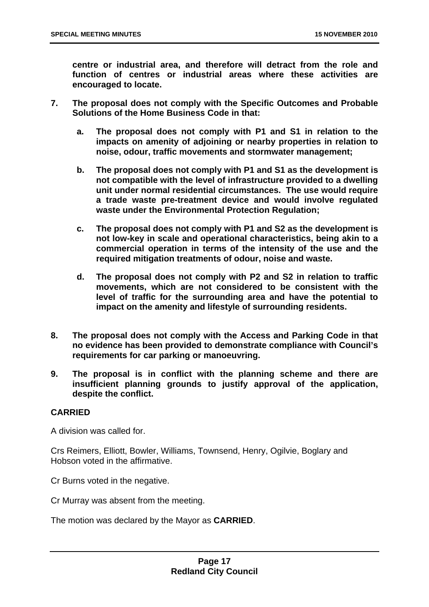**centre or industrial area, and therefore will detract from the role and function of centres or industrial areas where these activities are encouraged to locate.** 

- **7. The proposal does not comply with the Specific Outcomes and Probable Solutions of the Home Business Code in that:** 
	- **a. The proposal does not comply with P1 and S1 in relation to the impacts on amenity of adjoining or nearby properties in relation to noise, odour, traffic movements and stormwater management;**
	- **b. The proposal does not comply with P1 and S1 as the development is not compatible with the level of infrastructure provided to a dwelling unit under normal residential circumstances. The use would require a trade waste pre-treatment device and would involve regulated waste under the Environmental Protection Regulation;**
	- **c. The proposal does not comply with P1 and S2 as the development is not low-key in scale and operational characteristics, being akin to a commercial operation in terms of the intensity of the use and the required mitigation treatments of odour, noise and waste.**
	- **d. The proposal does not comply with P2 and S2 in relation to traffic movements, which are not considered to be consistent with the level of traffic for the surrounding area and have the potential to impact on the amenity and lifestyle of surrounding residents.**
- **8. The proposal does not comply with the Access and Parking Code in that no evidence has been provided to demonstrate compliance with Council's requirements for car parking or manoeuvring.**
- **9. The proposal is in conflict with the planning scheme and there are insufficient planning grounds to justify approval of the application, despite the conflict.**

#### **CARRIED**

A division was called for.

Crs Reimers, Elliott, Bowler, Williams, Townsend, Henry, Ogilvie, Boglary and Hobson voted in the affirmative.

Cr Burns voted in the negative.

Cr Murray was absent from the meeting.

The motion was declared by the Mayor as **CARRIED**.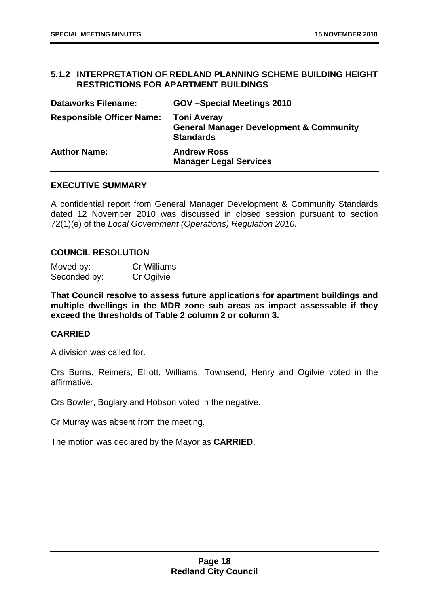#### <span id="page-18-0"></span>**5.1.2 INTERPRETATION OF REDLAND PLANNING SCHEME BUILDING HEIGHT RESTRICTIONS FOR APARTMENT BUILDINGS**

| <b>Dataworks Filename:</b>       | GOV-Special Meetings 2010                                                                    |
|----------------------------------|----------------------------------------------------------------------------------------------|
| <b>Responsible Officer Name:</b> | <b>Toni Averay</b><br><b>General Manager Development &amp; Community</b><br><b>Standards</b> |
| <b>Author Name:</b>              | <b>Andrew Ross</b><br><b>Manager Legal Services</b>                                          |

#### **EXECUTIVE SUMMARY**

A confidential report from General Manager Development & Community Standards dated 12 November 2010 was discussed in closed session pursuant to section 72(1)(e) of the *Local Government (Operations) Regulation 2010.* 

#### **COUNCIL RESOLUTION**

| Moved by:    | <b>Cr Williams</b> |
|--------------|--------------------|
| Seconded by: | Cr Ogilvie         |

**That Council resolve to assess future applications for apartment buildings and multiple dwellings in the MDR zone sub areas as impact assessable if they exceed the thresholds of Table 2 column 2 or column 3.** 

#### **CARRIED**

A division was called for.

Crs Burns, Reimers, Elliott, Williams, Townsend, Henry and Ogilvie voted in the affirmative.

Crs Bowler, Boglary and Hobson voted in the negative.

Cr Murray was absent from the meeting.

The motion was declared by the Mayor as **CARRIED**.